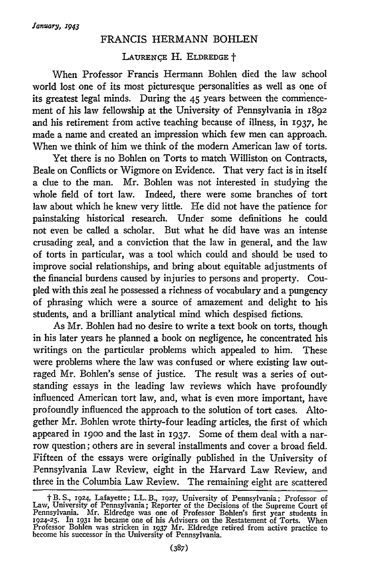## FRANCIS HERMANN BOHLEN

## **LAURENCE** H. **ELDREDGE** <sup>t</sup>

When Professor Francis Hermann Bohlen died the law school world lost one of its most picturesque personalities as well as one of its greatest legal minds. During the 45 years between the comnencement of his law fellowship at the University of Pennsylvania in 1892 and his retirement from active teaching because of illness, in **1937,** he made a name and created an impression which few men can approach. When we think of him we think of the modern American law of torts.

Yet there is no Bohlen on Torts to match Williston on Contracts, Beale on Conflicts or Wigmore on Evidence. That very fact is in itself a clue to the man. Mr. Bohlen was not interested in studying the whole field of tort law. Indeed, there were some branches of tort law about which he knew very little. He did not have the patience for painstaking historical research. Under some definitions he could not even be called a scholar. But what he did have was an intense crusading zeal, and a conviction that the law in general, and the law of torts in particular, was a tool which could and should be used to improve social relationships, and bring about equitable adjustments of the financial burdens caused by injuries to persons and property. Coupled with this zeal he possessed a richness of vocabulary and a pungency of phrasing which were a source of amazement and delight to his students, and a brilliant analytical mind which despised fictions.

As Mr. Bohlen had no desire to write a text book on torts, though in his later years he planned a book on negligence, he concentrated his writings on the particular problems which appealed to him. These were problems where the law was confused or where existing law outraged Mr. Bohlen's sense of justice. The result was a series of outstanding essays in the leading law reviews which have profoundly influenced American tort law, and, what is even more important, have profoundly influenced the approach to the solution of tort cases. Altogether Mr. Bohlen wrote thirty-four leading articles, the first of which appeared in i9oo and the last in 1937. Some of them deal with a narrow question; others are in several installments and cover a broad field. Fifteen of the essays were originally published in the University of Pennsylvania Law Review, eight in the Harvard Law Review, and three in the Columbia Law Review. The remaining eight are scattered

t B. S., **1924,** Lafayette; LL. B., **1927,** University of Pennsylvania; Professor of Law, University of Pennsylvania; Reporter of the Decisions of the Supreme Court of Pennsylvania. Mr. Eldredge was one of Professor Bohlen's first year students in 1924-25. In 1931 he became one of his Advisers on the Restatement of Torts. When Professor Bohlen was stricken in 1937 Mr. Eldredge retired fr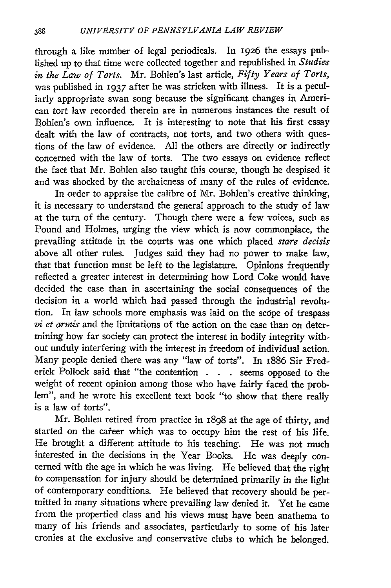through a like number of legal periodicals. In 1926 the essays published up to that time were collected together and republished in *Studies in the Law of Torts.* Mr. Bohlen's last article, *Fifty Years of Torts,* was published in **1937** after he was stricken with illness. It is a peculiarly appropriate swan song because the significant changes in American tort law recorded therein are in numerous instances the result of Bohlen's own influence. It is interesting to note that his first essay dealt with the law of contracts, not torts, and two others with questions of the law of evidence. All the others are directly or indirectly concerned with the law of torts. The two essays on evidence reflect the fact that Mr. Bohlen also taught this course, though he despised it and was shocked by the archaicness of many of the rules of evidence.

In order to appraise the calibre of Mr. Bohlen's creative thinking, it is necessary to understand the general approach to the study of law at the turn of the century. Though there were a few voices, such as Pound and Holmes, urging the view which is now commonplace, the prevailing attitude in the courts was one which placed *stare decisis* above all other rules. Judges said they had no power to make law, that that function must be left to the legislature. Opinions frequently reflected a greater interest in determining how Lord Coke would have decided the case than in ascertaining the social consequences of the decision in a world which had passed through the industrial revolution. In law schools more emphasis was laid on the sccpe of trespass *vi et armis* and the limitations of the action on the case than on determining how far society can protect the interest in bodily integrity without unduly interfering with the interest in freedom of individual action. Many people denied there was any "law of torts". In i886 Sir Frederick Pollock said that "the contention **. . .** seems opposed to the weight of recent opinion among those who have fairly faced the problem", and he wrote his excellent text book "to show that there really is a law of torts".

Mr. Bohlen retired from practice in 1898 at the age of thirty, and started on the career which was to occupy him the rest of his life. He brought a different attitude to his teaching. He was not much interested in the decisions in the Year Books. He was deeply concerned with the age in which he was living. He believed that the right to compensation for injury should be determined primarily in the light of contemporary conditions. He believed that recovery should be permitted in many situations where prevailing law denied it. Yet he came from the propertied class and his views must have been anathema to many of his friends and associates, particularly to some of his later cronies at the exclusive and conservative clubs to which he belonged.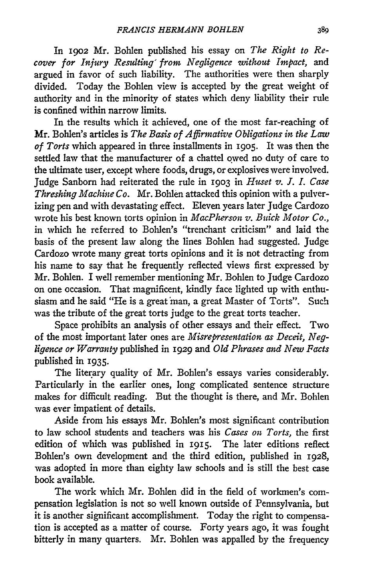In **1902** Mr. Bohlen published his essay on *The Right to Recover for Injury Resulting' from Negligence without Impact,* and argued in favor of such liability. The authorities were then sharply divided. Today the Bohlen view is accepted by the great weight of authority and in the minority of states which deny liability their rule is confined within narrow limits.

In the results which it achieved, one of the most far-reaching of Mr. Bohlen's articles is *The Basis of Affirmative Obligations in the Law of Torts* which appeared in three installments in 19o5. It was then the settled law that the manufacturer of a chattel owed no duty of care to the ultimate user, except where foods, drugs, or explosives were involved. Judge Sanborn had reiterated the rule in 1903 in *Huset v. I. I. Case Threshing Machine Co.* Mr. Bohlen attacked this opinion with a pulverizing pen and with devastating effect. Eleven years later Judge Cardozo wrote his best known torts opinion in *MacPherson v. Buick Motor Co.,* in which he referred to Bohlen's "trenchant criticism" and laid the basis of the present law along the lines Bohlen had suggested. Judge Cardozo wrote many great torts opinions and it is not detracting from his name to say that he frequently reflected views first expressed by Mr. Bohlen. I well remember mentioning Mr. Bohlen to Judge Cardozo on one occasion. That magnificent, kindly face lighted up with enthusiasm and he said "He is a great man, a great Master of Torts". Such was the tribute of the great torts judge to the great torts teacher.

Space prohibits an analysis of other essays and their effect. Two of the most important later ones are *Misrepresentation as Deceit, Negligence or Warranty* published in 1929 and *Old Phrases and New Facts* published in **1935.**

The literary quality of Mr. Bohlen's essays varies considerably. Particularly in the earlier ones, long complicated sentence structure makes for difficult reading. But the thought is there, and Mr. Bohlen was ever impatient of details.

Aside from his essays Mr. Bohlen's most significant contribution to law school students and teachers was his *Cases on Torts,* the first edition of which was published in **1915.** The later editions reflect Bohlen's own development and the third edition, published in 1928, was adopted in more than eighty law schools and is still the best case book available.

The work which Mr. Bohlen did in the field of workmen's compensation legislation is not so well known outside of Pennsylvania, but it is another significant accomplishment. Today the right to compensation is accepted as a matter of course. Forty years ago, it was fought bitterly in many quarters. Mr. Bohlen was appalled **by** the frequency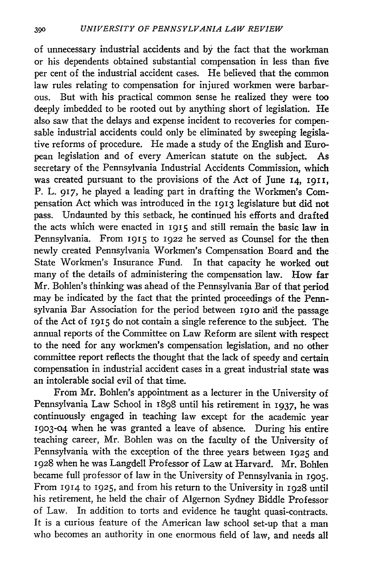of unnecessary industrial accidents and by the fact that the workman or his dependents obtained substantial compensation in less than five per cent of the industrial accident cases. He believed that the common law rules relating to compensation for injured workmen were barbarous. But with his practical common sense he realized they were too deeply imbedded to be rooted out by anything short of legislation. He also saw that the delays and expense incident to recoveries for compensable industrial accidents could only be eliminated by sweeping legislative reforms of procedure. He made a study of the English and European legislation and of every American statute on the subject. As secretary of the Pennsylvania Industrial Accidents Commission, which was created pursuant to the provisions of the Act of June **14, 1911,** P. L. 917, he played a leading part in drafting the Workmen's Compensation Act which was introduced in the **1913** legislature but did not pass. Undaunted by this setback, he continued his efforts and drafted the acts which were enacted in **1915** and still remain the basic law in Pennsylvania. From **1915** to 1922 he served as Counsel for the then newly created Pennsylvania Workmen's Compensation Board and the State Workmen's Insurance Fund. In that capacity he worked out many of the details of administering the compensation law. How far Mr. Bohlen's thinking was ahead of the Pennsylvania Bar of that period may be indicated by the fact that the printed proceedings of the Pennsylvania Bar Association for the period between I9io and the passage of the Act of **1915** do not contain a single reference to the subject. The annual reports of the Committee on Law Reform are silent with respect to the need for any workmen's compensation legislation, and no other committee report reflects the thought that the lack of speedy and certain compensation in industrial accident cases in a great industrial state was an intolerable social evil of that time.

From Mr. Bohlen's appointment as a lecturer in the University of Pennsylvania Law School in 1898 until his retirement in 1937, he was continuously engaged in teaching law except for the academic year **1903-04** when he was granted a leave of absence. During his entire teaching career, Mr. Bohlen was on the faculty of the University of Pennsylvania with the exception of the three years between 1925 and 1928 when he was Langdell Professor of Law at Harvard. Mr. Bohlen became full professor of law in the University of Pennsylvania in **1905.** From **1914** to **1925,** and from his return to the University in 1928 until his retirement, he held the chair of Algernon Sydney Biddle Professor of Law. In addition to torts and evidence he taught quasi-contracts. It is a curious feature of the American law school set-up that a man who becomes an authority in one enormous field of law, and needs all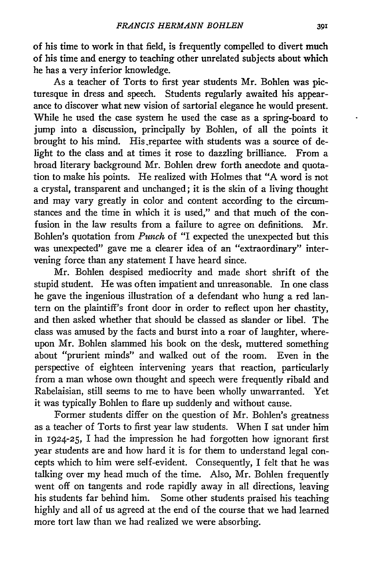of his time to work in that field, is frequently compelled to divert much of his time and energy to teaching other unrelated subjects about which he has a very inferior knowledge.

As a teacher of Torts to first year students Mr. Bohlen was picturesque in dress and speech. Students regularly awaited his appearance to discover what new vision of sartorial elegance he would present. While he used the case system he used the case as a spring-board to jump into a discussion, principally by Bohlen, of all the points it brought to his mind. His repartee with students was a source of delight to the class and at times it rose to dazzling brilliance. From a broad literary background Mr. Bohlen drew forth anecdote and quotation to make his points. He realized with Holmes that "A word is not a crystal, transparent and unchanged; it is the skin of a living thought and may vary greatly in color and content according to the circumstances and the time in which it is used," and that much of the confusion in the law results from a failure to agree on definitions. Mr. Bohlen's quotation from *Punch* of "I expected the unexpected but this was unexpected" gave me a clearer idea of an "extraordinary" intervening force than any statement I have heard since.

Mr. Bohlen despised mediocrity and made short shrift of the stupid student. He was often impatient and unreasonable. In one class he gave the ingenious illustration of a defendant who hung a red lantern on the plaintiff's front door in order to reflect upon her chastity, and then asked whether that should be classed as slander or libel. The class was amused by the facts and burst into a roar of laughter, whereupon Mr. Bohlen slammed his book on the desk, muttered something about "prurient minds" and walked out of the room. Even in the perspective of eighteen intervening years that reaction, particularly from a man whose own thought and speech were frequently ribald and Rabelaisian, still seems to me to have been wholly unwarranted. Yet it was typically Bohlen to flare up suddenly and without cause.

Former students differ on the question of Mr. Bohlen's greatness as a teacher of Torts to first year law students. When I sat under him in 1924-25, I had the impression he had forgotten how ignorant first year students are and how hard it is for them to understand legal concepts which to him were self-evident. Consequently, I felt that he was talking over my head much of the time. Also, Mr. Bohlen frequently went off on tangents and rode rapidly away in all directions, leaving his students far behind him. Some other students praised his teaching highly and all of us agreed at the end of the course that we had learned more tort law than we had realized we were absorbing.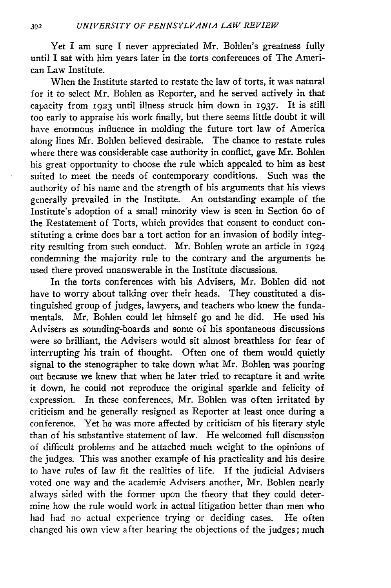Yet I am sure I never appreciated Mr. Bohlen's greatness fully until I sat with him years later in the torts conferences of The American Law Institute.

When the Institute started to restate the law of torts, it was natural for it to select Mr. Bohlen as Reporter, and he served actively in that capacity from 1923 until illness struck him down in 1937. It is still too early to appraise his work finally, but there seems little doubt it will have enormous influence in molding the future tort law of America along lines Mr. Bohlen believed desirable. The chance to restate rules where there was considerable case authority in conflict, gave Mr. Bohlen his great opportunity to choose the rule which appealed to him as best suited to meet the needs of contemporary conditions. Such was the authority of his name and the strength of his arguments that his views generally prevailed in the Institute. An outstanding example of the Institute's adoption of a small minority view is seen in Section 6o of the Restatement of Torts, which provides that consent to conduct constituting a crime does bar a tort action for an invasion of bodily integrity resulting from such conduct. Mr. Bohlen wrote an article in **1924** condemning the majority rule to the contrary and the arguments he used there proved unanswerable in the Institute discussions.

In the torts conferences with his Advisers, Mr. Bohlen did not have to worry about talking over their heads. They constituted a distinguished group of judges, lawyers, and teachers who knew the fundamentals. Mr. Bohlen could let himself go and he did. He used his Advisers as sounding-boards and some of his spontaneous discussions were so brilliant, the Advisers would sit almost breathless for fear of interrupting his train of thought. Often one of them would quietly signal to the stenographer to take down what Mr. Bohlen was pouring out because we knew that when he later tried to recapture it and write it down, he could not reproduce the original sparkle and felicity of expression. In these conferences, Mr. Bohlen was often irritated by criticism and he generally resigned as Reporter at least once during a conference. Yet he was more affected by criticism of his literary style than of his substantive statement of law. He welcomed full discussion of difficult problems and he attached much weight to the opinions of the judges. This was another example of his practicality and his desire to have rules of law fit the realities of life. If the judicial Advisers voted one way and the academic Advisers another, Mr. Bohlen nearly always sided with the former upon the theory that they could determine how the rule would work in actual litigation better than men who had had no actual experience trying or deciding cases. He often changed his own view after hearing the objections of the judges; much